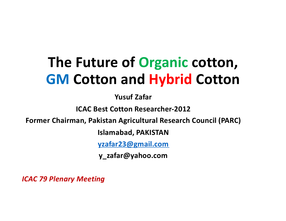# **The Future of Organic cotton, GM Cotton and Hybrid Cotton**

**Yusuf Zafar**

**ICAC Best Cotton Researcher-2012**

**Former Chairman, Pakistan Agricultural Research Council (PARC)**

**Islamabad, PAKISTAN**

**[yzafar23@gmail.com](mailto:yzafar23@gmail.com)**

**y\_zafar@yahoo.com** 

*ICAC 79 Plenary Meeting*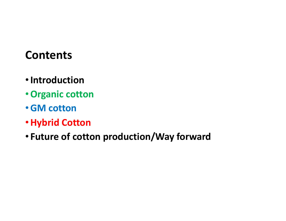#### **Contents**

- •**Introduction**
- •**Organic cotton**
- •**GM cotton**
- •**Hybrid Cotton**
- **Future of cotton production/Way forward**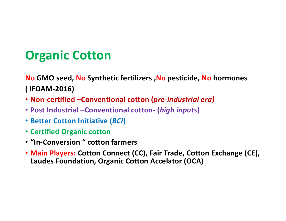# **Organic Cotton**

**No GMO seed, No Synthetic fertilizers ,No pesticide, No hormones ( IFOAM-2016)**

- **Non-certified –Conventional cotton (***pre-industrial era)*
- **Post Industrial –Conventional cotton- (***high inputs***)**
- **Better Cotton Initiative (***BCI***)**
- **Certified Organic cotton**
- **"In-Conversion " cotton farmers**
- **Main Players: Cotton Connect (CC), Fair Trade, Cotton Exchange (CE), Laudes Foundation, Organic Cotton Accelator (OCA)**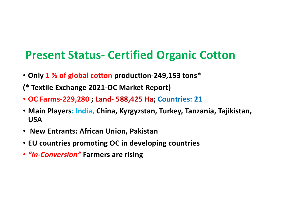#### **Present Status- Certified Organic Cotton**

- **Only 1 % of global cotton production-249,153 tons\***
- **(\* Textile Exchange 2021-OC Market Report)**
- **OC Farms-229,280 ; Land- 588,425 Ha; Countries: 21**
- **Main Players: India, China, Kyrgyzstan, Turkey, Tanzania, Tajikistan, USA**
- **New Entrants: African Union, Pakistan**
- **EU countries promoting OC in developing countries**
- *"In-Conversion"* **Farmers are rising**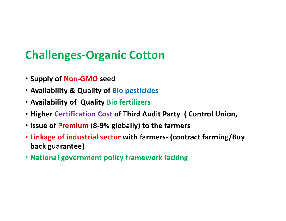# **Challenges-Organic Cotton**

- **Supply of Non-GMO seed**
- **Availability & Quality of Bio pesticides**
- **Availability of Quality Bio fertilizers**
- **Higher Certification Cost of Third Audit Party ( Control Union,**
- **Issue of Premium (8-9% globally) to the farmers**
- **Linkage of industrial sector with farmers- (contract farming/Buy back guarantee)**
- **National government policy framework lacking**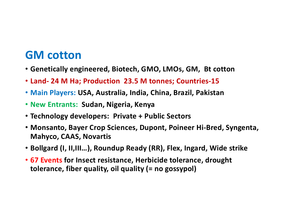#### **GM cotton**

- **Genetically engineered, Biotech, GMO, LMOs, GM, Bt cotton**
- **Land- 24 M Ha; Production 23.5 M tonnes; Countries-15**
- **Main Players: USA, Australia, India, China, Brazil, Pakistan**
- **New Entrants: Sudan, Nigeria, Kenya**
- **Technology developers: Private + Public Sectors**
- **Monsanto, Bayer Crop Sciences, Dupont, Poineer Hi-Bred, Syngenta, Mahyco, CAAS, Novartis**
- **Bollgard (I, II,III…), Roundup Ready (RR), Flex, Ingard, Wide strike**
- **67 Events for Insect resistance, Herbicide tolerance, drought tolerance, fiber quality, oil quality (= no gossypol)**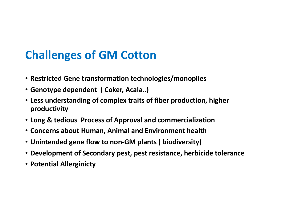# **Challenges of GM Cotton**

- **Restricted Gene transformation technologies/monoplies**
- **Genotype dependent ( Coker, Acala..)**
- **Less understanding of complex traits of fiber production, higher productivity**
- **Long & tedious Process of Approval and commercialization**
- **Concerns about Human, Animal and Environment health**
- **Unintended gene flow to non-GM plants ( biodiversity)**
- **Development of Secondary pest, pest resistance, herbicide tolerance**
- **Potential Allerginicty**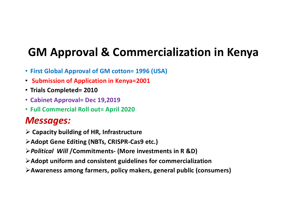# **GM Approval & Commercialization in Kenya**

- **First Global Approval of GM cotton= 1996 (USA)**
- **Submission of Application in Kenya=2001**
- **Trials Completed= 2010**
- **Cabinet Approval= Dec 19,2019**
- **Full Commercial Roll out= April 2020**

#### *Messages:*

- Ø **Capacity building of HR, Infrastructure**
- Ø**Adopt Gene Editing (NBTs, CRISPR-Cas9 etc.)**
- Ø*Political Will* **/Commitments- (More investments in R &D)**
- Ø**Adopt uniform and consistent guidelines for commercialization**
- Ø**Awareness among farmers, policy makers, general public (consumers)**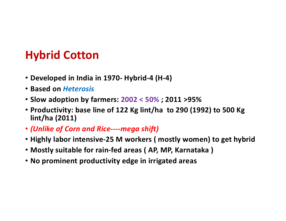### **Hybrid Cotton**

- **Developed in India in 1970- Hybrid-4 (H-4)**
- **Based on** *Heterosis*
- **Slow adoption by farmers: 2002 < 50% ; 2011 >95%**
- **Productivity: base line of 122 Kg lint/ha to 290 (1992) to 500 Kg lint/ha (2011)**
- *(Unlike of Corn and Rice----mega shift)*
- **Highly labor intensive-25 M workers ( mostly women) to get hybrid**
- **Mostly suitable for rain-fed areas ( AP, MP, Karnataka )**
- **No prominent productivity edge in irrigated areas**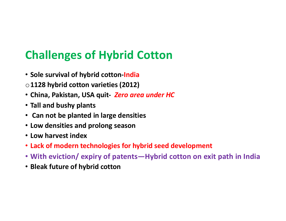# **Challenges of Hybrid Cotton**

- **Sole survival of hybrid cotton-India**
- o**1128 hybrid cotton varieties (2012)**
- **China, Pakistan, USA quit-** *Zero area under HC*
- **Tall and bushy plants**
- **Can not be planted in large densities**
- **Low densities and prolong season**
- **Low harvest index**
- **Lack of modern technologies for hybrid seed development**
- **With eviction/ expiry of patents—Hybrid cotton on exit path in India**
- **Bleak future of hybrid cotton**